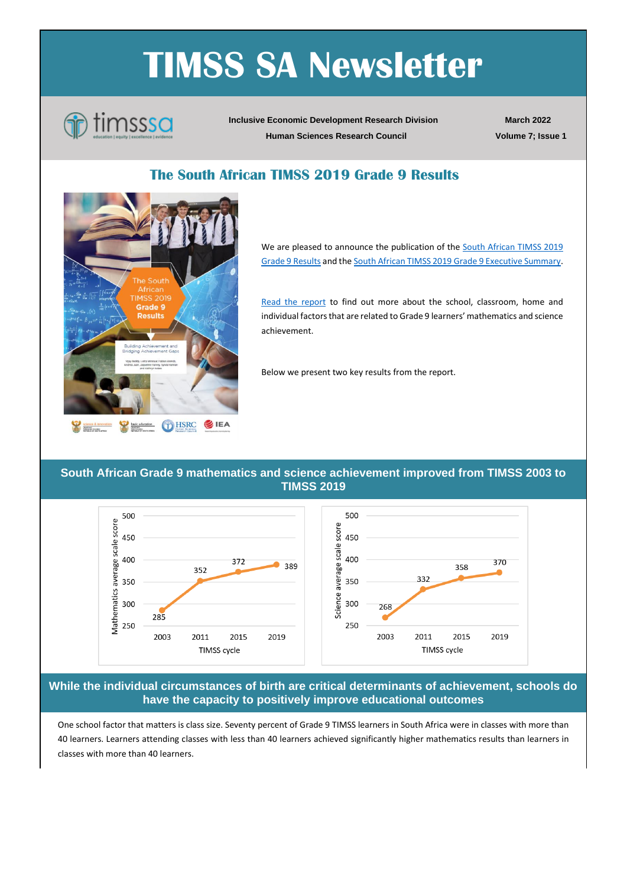## **TIMSS SA Newsletter**



**Inclusive Economic Development Research Division Human Sciences Research Council**

**March 2022 Volume 7; Issue 1**

## **The South African TIMSS 2019 Grade 9 Results**



We are pleased to announce the publication of the **South African TIMSS 2019** [Grade 9 Results](https://www.timss-sa.org/publication/the-south-african-timss-2019-grade-9-results) and th[e South African TIMSS 2019 Grade 9 Executive Summary.](https://www.timss-sa.org/publication/the-south-african-timss-2019-grade-9-results)

[Read the report](https://www.timss-sa.org/publication/the-south-african-timss-2019-grade-9-results) to find out more about the school, classroom, home and individual factors that are related to Grade 9 learners' mathematics and science achievement.

Below we present two key results from the report.

**South African Grade 9 mathematics and science achievement improved from TIMSS 2003 to TIMSS 2019**



**While the individual circumstances of birth are critical determinants of achievement, schools do have the capacity to positively improve educational outcomes**

One school factor that matters is class size. Seventy percent of Grade 9 TIMSS learners in South Africa were in classes with more than 40 learners. Learners attending classes with less than 40 learners achieved significantly higher mathematics results than learners in classes with more than 40 learners.